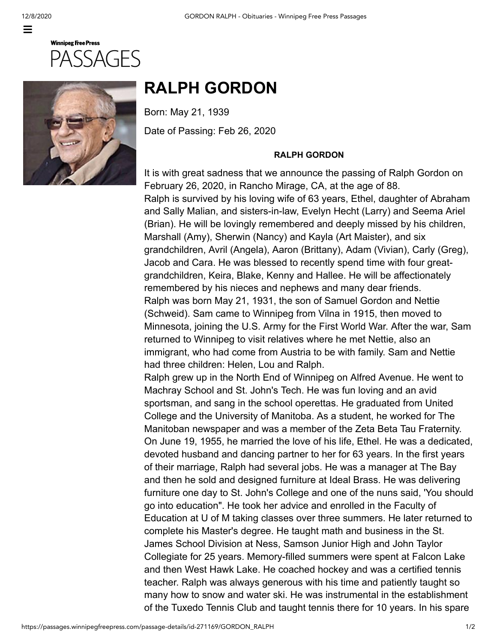

## **Winnipeg Free Press** SSAGES



## **RALPH GORDON**

Born: May 21, 1939

Date of Passing: Feb 26, 2020

## **RALPH GORDON**

It is with great sadness that we announce the passing of Ralph Gordon on February 26, 2020, in Rancho Mirage, CA, at the age of 88. Ralph is survived by his loving wife of 63 years, Ethel, daughter of Abraham and Sally Malian, and sisters-in-law, Evelyn Hecht (Larry) and Seema Ariel (Brian). He will be lovingly remembered and deeply missed by his children, Marshall (Amy), Sherwin (Nancy) and Kayla (Art Maister), and six grandchildren, Avril (Angela), Aaron (Brittany), Adam (Vivian), Carly (Greg), Jacob and Cara. He was blessed to recently spend time with four greatgrandchildren, Keira, Blake, Kenny and Hallee. He will be affectionately remembered by his nieces and nephews and many dear friends. Ralph was born May 21, 1931, the son of Samuel Gordon and Nettie (Schweid). Sam came to Winnipeg from Vilna in 1915, then moved to Minnesota, joining the U.S. Army for the First World War. After the war, Sam returned to Winnipeg to visit relatives where he met Nettie, also an immigrant, who had come from Austria to be with family. Sam and Nettie had three children: Helen, Lou and Ralph.

Ralph grew up in the North End of Winnipeg on Alfred Avenue. He went to Machray School and St. John's Tech. He was fun loving and an avid sportsman, and sang in the school operettas. He graduated from United College and the University of Manitoba. As a student, he worked for The Manitoban newspaper and was a member of the Zeta Beta Tau Fraternity. On June 19, 1955, he married the love of his life, Ethel. He was a dedicated, devoted husband and dancing partner to her for 63 years. In the first years of their marriage, Ralph had several jobs. He was a manager at The Bay and then he sold and designed furniture at Ideal Brass. He was delivering furniture one day to St. John's College and one of the nuns said, 'You should go into education". He took her advice and enrolled in the Faculty of Education at U of M taking classes over three summers. He later returned to complete his Master's degree. He taught math and business in the St. James School Division at Ness, Samson Junior High and John Taylor Collegiate for 25 years. Memory-filled summers were spent at Falcon Lake and then West Hawk Lake. He coached hockey and was a certified tennis teacher. Ralph was always generous with his time and patiently taught so many how to snow and water ski. He was instrumental in the establishment of the Tuxedo Tennis Club and taught tennis there for 10 years. In his spare